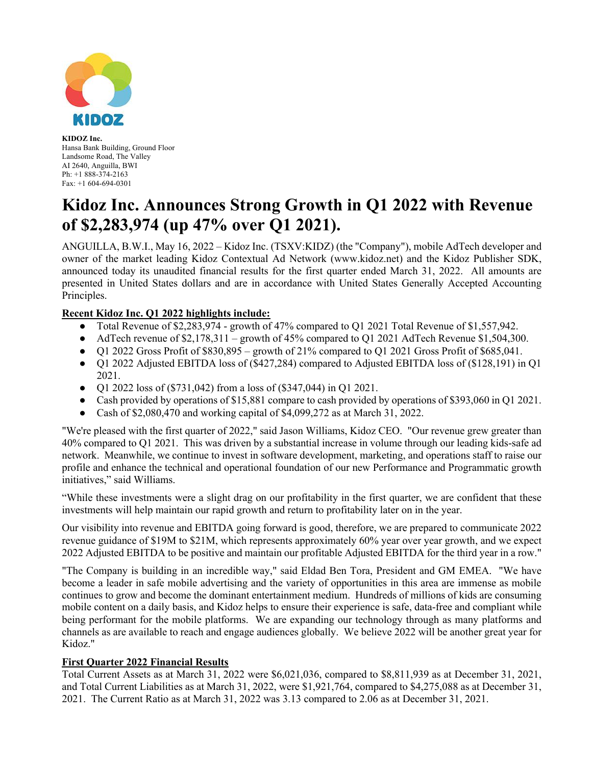

**KIDOZ Inc.** Hansa Bank Building, Ground Floor Landsome Road, The Valley AI 2640, Anguilla, BWI Ph: +1 888-374-2163 Fax: +1 604-694-0301

# **Kidoz Inc. Announces Strong Growth in Q1 2022 with Revenue of \$2,283,974 (up 47% over Q1 2021).**

ANGUILLA, B.W.I., May 16, 2022 – Kidoz Inc. (TSXV:KIDZ) (the "Company"), mobile AdTech developer and owner of the market leading Kidoz Contextual Ad Network (www.kidoz.net) and the Kidoz Publisher SDK, announced today its unaudited financial results for the first quarter ended March 31, 2022. All amounts are presented in United States dollars and are in accordance with United States Generally Accepted Accounting Principles.

## **Recent Kidoz Inc. Q1 2022 highlights include:**

- Total Revenue of \$2,283,974 growth of 47% compared to Q1 2021 Total Revenue of \$1,557,942.
- AdTech revenue of  $$2,178,311$  growth of 45% compared to Q1 2021 AdTech Revenue \$1,504,300.
- Q1 2022 Gross Profit of  $$830,895 -$  growth of 21% compared to Q1 2021 Gross Profit of  $$685,041$ .
- Q1 2022 Adjusted EBITDA loss of (\$427,284) compared to Adjusted EBITDA loss of (\$128,191) in Q1 2021.
- Q1 2022 loss of (\$731,042) from a loss of (\$347,044) in Q1 2021.
- Cash provided by operations of \$15,881 compare to cash provided by operations of \$393,060 in Q1 2021.
- Cash of \$2,080,470 and working capital of  $$4,099,272$  as at March 31, 2022.

"We're pleased with the first quarter of 2022," said Jason Williams, Kidoz CEO. "Our revenue grew greater than 40% compared to Q1 2021. This was driven by a substantial increase in volume through our leading kids-safe ad network. Meanwhile, we continue to invest in software development, marketing, and operations staff to raise our profile and enhance the technical and operational foundation of our new Performance and Programmatic growth initiatives," said Williams.

"While these investments were a slight drag on our profitability in the first quarter, we are confident that these investments will help maintain our rapid growth and return to profitability later on in the year.

Our visibility into revenue and EBITDA going forward is good, therefore, we are prepared to communicate 2022 revenue guidance of \$19M to \$21M, which represents approximately 60% year over year growth, and we expect 2022 Adjusted EBITDA to be positive and maintain our profitable Adjusted EBITDA for the third year in a row."

"The Company is building in an incredible way," said Eldad Ben Tora, President and GM EMEA. "We have become a leader in safe mobile advertising and the variety of opportunities in this area are immense as mobile continues to grow and become the dominant entertainment medium. Hundreds of millions of kids are consuming mobile content on a daily basis, and Kidoz helps to ensure their experience is safe, data-free and compliant while being performant for the mobile platforms. We are expanding our technology through as many platforms and channels as are available to reach and engage audiences globally. We believe 2022 will be another great year for Kidoz."

#### **First Quarter 2022 Financial Results**

Total Current Assets as at March 31, 2022 were \$6,021,036, compared to \$8,811,939 as at December 31, 2021, and Total Current Liabilities as at March 31, 2022, were \$1,921,764, compared to \$4,275,088 as at December 31, 2021. The Current Ratio as at March 31, 2022 was 3.13 compared to 2.06 as at December 31, 2021.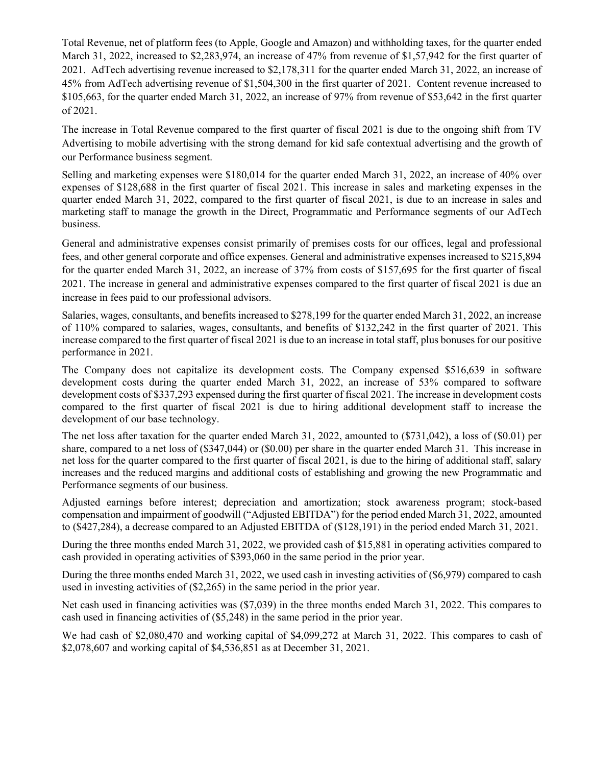Total Revenue, net of platform fees (to Apple, Google and Amazon) and withholding taxes, for the quarter ended March 31, 2022, increased to \$2,283,974, an increase of 47% from revenue of \$1,57,942 for the first quarter of 2021. AdTech advertising revenue increased to \$2,178,311 for the quarter ended March 31, 2022, an increase of 45% from AdTech advertising revenue of \$1,504,300 in the first quarter of 2021. Content revenue increased to \$105,663, for the quarter ended March 31, 2022, an increase of 97% from revenue of \$53,642 in the first quarter of 2021.

The increase in Total Revenue compared to the first quarter of fiscal 2021 is due to the ongoing shift from TV Advertising to mobile advertising with the strong demand for kid safe contextual advertising and the growth of our Performance business segment.

Selling and marketing expenses were \$180,014 for the quarter ended March 31, 2022, an increase of 40% over expenses of \$128,688 in the first quarter of fiscal 2021. This increase in sales and marketing expenses in the quarter ended March 31, 2022, compared to the first quarter of fiscal 2021, is due to an increase in sales and marketing staff to manage the growth in the Direct, Programmatic and Performance segments of our AdTech business.

General and administrative expenses consist primarily of premises costs for our offices, legal and professional fees, and other general corporate and office expenses. General and administrative expenses increased to \$215,894 for the quarter ended March 31, 2022, an increase of 37% from costs of \$157,695 for the first quarter of fiscal 2021. The increase in general and administrative expenses compared to the first quarter of fiscal 2021 is due an increase in fees paid to our professional advisors.

Salaries, wages, consultants, and benefits increased to \$278,199 for the quarter ended March 31, 2022, an increase of 110% compared to salaries, wages, consultants, and benefits of \$132,242 in the first quarter of 2021. This increase compared to the first quarter of fiscal 2021 is due to an increase in total staff, plus bonuses for our positive performance in 2021.

The Company does not capitalize its development costs. The Company expensed \$516,639 in software development costs during the quarter ended March 31, 2022, an increase of 53% compared to software development costs of \$337,293 expensed during the first quarter of fiscal 2021. The increase in development costs compared to the first quarter of fiscal 2021 is due to hiring additional development staff to increase the development of our base technology.

The net loss after taxation for the quarter ended March 31, 2022, amounted to (\$731,042), a loss of (\$0.01) per share, compared to a net loss of (\$347,044) or (\$0.00) per share in the quarter ended March 31. This increase in net loss for the quarter compared to the first quarter of fiscal 2021, is due to the hiring of additional staff, salary increases and the reduced margins and additional costs of establishing and growing the new Programmatic and Performance segments of our business.

Adjusted earnings before interest; depreciation and amortization; stock awareness program; stock-based compensation and impairment of goodwill ("Adjusted EBITDA") for the period ended March 31, 2022, amounted to (\$427,284), a decrease compared to an Adjusted EBITDA of (\$128,191) in the period ended March 31, 2021.

During the three months ended March 31, 2022, we provided cash of \$15,881 in operating activities compared to cash provided in operating activities of \$393,060 in the same period in the prior year.

During the three months ended March 31, 2022, we used cash in investing activities of (\$6,979) compared to cash used in investing activities of (\$2,265) in the same period in the prior year.

Net cash used in financing activities was (\$7,039) in the three months ended March 31, 2022. This compares to cash used in financing activities of (\$5,248) in the same period in the prior year.

We had cash of \$2,080,470 and working capital of \$4,099,272 at March 31, 2022. This compares to cash of \$2,078,607 and working capital of \$4,536,851 as at December 31, 2021.